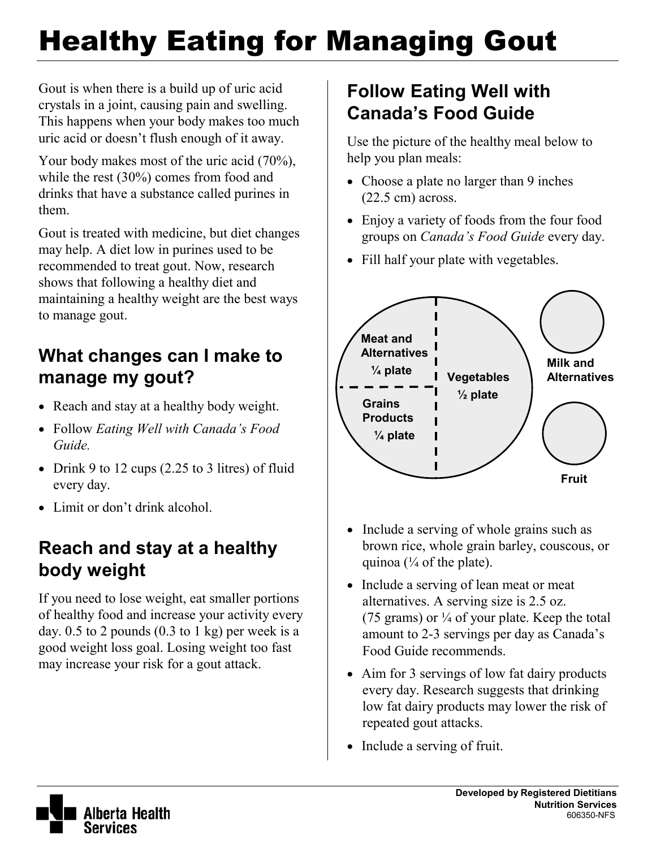# Healthy Eating for Managing Gout

Gout is when there is a build up of uric acid crystals in a joint, causing pain and swelling. This happens when your body makes too much uric acid or doesn't flush enough of it away.

Your body makes most of the uric acid (70%), while the rest (30%) comes from food and drinks that have a substance called purines in them.

Gout is treated with medicine, but diet changes may help. A diet low in purines used to be recommended to treat gout. Now, research shows that following a healthy diet and maintaining a healthy weight are the best ways to manage gout.

#### **What changes can I make to manage my gout?**

- Reach and stay at a healthy body weight.
- Follow *Eating Well with Canada's Food Guide.*
- Drink 9 to 12 cups (2.25 to 3 litres) of fluid every day.
- Limit or don't drink alcohol.

#### **Reach and stay at a healthy body weight**

If you need to lose weight, eat smaller portions of healthy food and increase your activity every day.  $0.5$  to 2 pounds  $(0.3$  to 1 kg) per week is a good weight loss goal. Losing weight too fast may increase your risk for a gout attack.

#### **Follow Eating Well with Canada's Food Guide**

Use the picture of the healthy meal below to help you plan meals:

- Choose a plate no larger than 9 inches (22.5 cm) across.
- Enjoy a variety of foods from the four food groups on *Canada's Food Guide* every day.
- Fill half your plate with vegetables.



- Include a serving of whole grains such as brown rice, whole grain barley, couscous, or quinoa ( $\frac{1}{4}$  of the plate).
- Include a serving of lean meat or meat alternatives. A serving size is 2.5 oz. (75 grams) or  $\frac{1}{4}$  of your plate. Keep the total amount to 2-3 servings per day as Canada's Food Guide recommends.
- Aim for 3 servings of low fat dairy products every day. Research suggests that drinking low fat dairy products may lower the risk of repeated gout attacks.
- Include a serving of fruit.